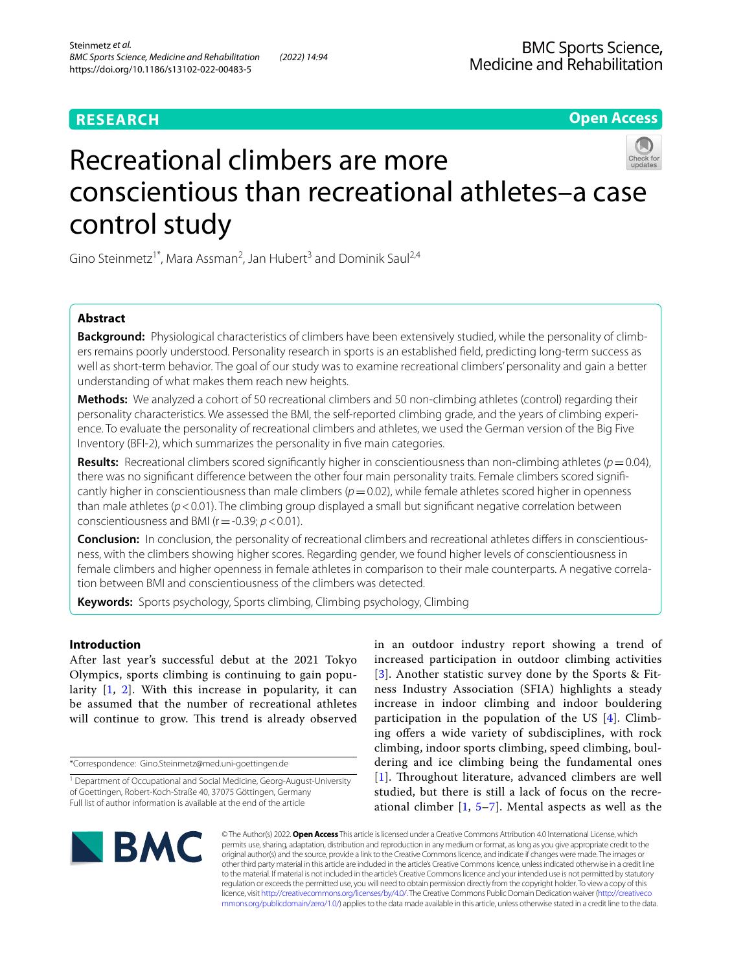**Open Access**

# Recreational climbers are more conscientious than recreational athletes–a case control study

Gino Steinmetz<sup>1\*</sup>, Mara Assman<sup>2</sup>, Jan Hubert<sup>3</sup> and Dominik Saul<sup>2,4</sup>

## **Abstract**

**Background:** Physiological characteristics of climbers have been extensively studied, while the personality of climbers remains poorly understood. Personality research in sports is an established feld, predicting long-term success as well as short-term behavior. The goal of our study was to examine recreational climbers' personality and gain a better understanding of what makes them reach new heights.

**Methods:** We analyzed a cohort of 50 recreational climbers and 50 non-climbing athletes (control) regarding their personality characteristics. We assessed the BMI, the self-reported climbing grade, and the years of climbing experience. To evaluate the personality of recreational climbers and athletes, we used the German version of the Big Five Inventory (BFI-2), which summarizes the personality in fve main categories.

**Results:** Recreational climbers scored significantly higher in conscientiousness than non-climbing athletes ( $p=0.04$ ), there was no signifcant diference between the other four main personality traits. Female climbers scored signifcantly higher in conscientiousness than male climbers ( $p=0.02$ ), while female athletes scored higher in openness than male athletes ( $p$  < 0.01). The climbing group displayed a small but significant negative correlation between conscientiousness and BMI (r=-0.39; *p*<0.01).

**Conclusion:** In conclusion, the personality of recreational climbers and recreational athletes difers in conscientiousness, with the climbers showing higher scores. Regarding gender, we found higher levels of conscientiousness in female climbers and higher openness in female athletes in comparison to their male counterparts. A negative correlation between BMI and conscientiousness of the climbers was detected.

**Keywords:** Sports psychology, Sports climbing, Climbing psychology, Climbing

## **Introduction**

After last year's successful debut at the 2021 Tokyo Olympics, sports climbing is continuing to gain popularity  $[1, 2]$  $[1, 2]$  $[1, 2]$  $[1, 2]$  $[1, 2]$ . With this increase in popularity, it can be assumed that the number of recreational athletes will continue to grow. This trend is already observed

\*Correspondence: Gino.Steinmetz@med.uni-goettingen.de

in an outdoor industry report showing a trend of increased participation in outdoor climbing activities [[3](#page-5-2)]. Another statistic survey done by the Sports & Fitness Industry Association (SFIA) highlights a steady increase in indoor climbing and indoor bouldering participation in the population of the US [[4](#page-5-3)]. Climbing offers a wide variety of subdisciplines, with rock climbing, indoor sports climbing, speed climbing, bouldering and ice climbing being the fundamental ones [[1](#page-5-0)]. Throughout literature, advanced climbers are well studied, but there is still a lack of focus on the recreational climber  $[1, 5-7]$  $[1, 5-7]$  $[1, 5-7]$  $[1, 5-7]$  $[1, 5-7]$ . Mental aspects as well as the



© The Author(s) 2022. **Open Access** This article is licensed under a Creative Commons Attribution 4.0 International License, which permits use, sharing, adaptation, distribution and reproduction in any medium or format, as long as you give appropriate credit to the original author(s) and the source, provide a link to the Creative Commons licence, and indicate if changes were made. The images or other third party material in this article are included in the article's Creative Commons licence, unless indicated otherwise in a credit line to the material. If material is not included in the article's Creative Commons licence and your intended use is not permitted by statutory regulation or exceeds the permitted use, you will need to obtain permission directly from the copyright holder. To view a copy of this licence, visit [http://creativecommons.org/licenses/by/4.0/.](http://creativecommons.org/licenses/by/4.0/) The Creative Commons Public Domain Dedication waiver ([http://creativeco](http://creativecommons.org/publicdomain/zero/1.0/) [mmons.org/publicdomain/zero/1.0/](http://creativecommons.org/publicdomain/zero/1.0/)) applies to the data made available in this article, unless otherwise stated in a credit line to the data.

<sup>&</sup>lt;sup>1</sup> Department of Occupational and Social Medicine, Georg-August-University of Goettingen, Robert-Koch-Straße 40, 37075 Göttingen, Germany Full list of author information is available at the end of the article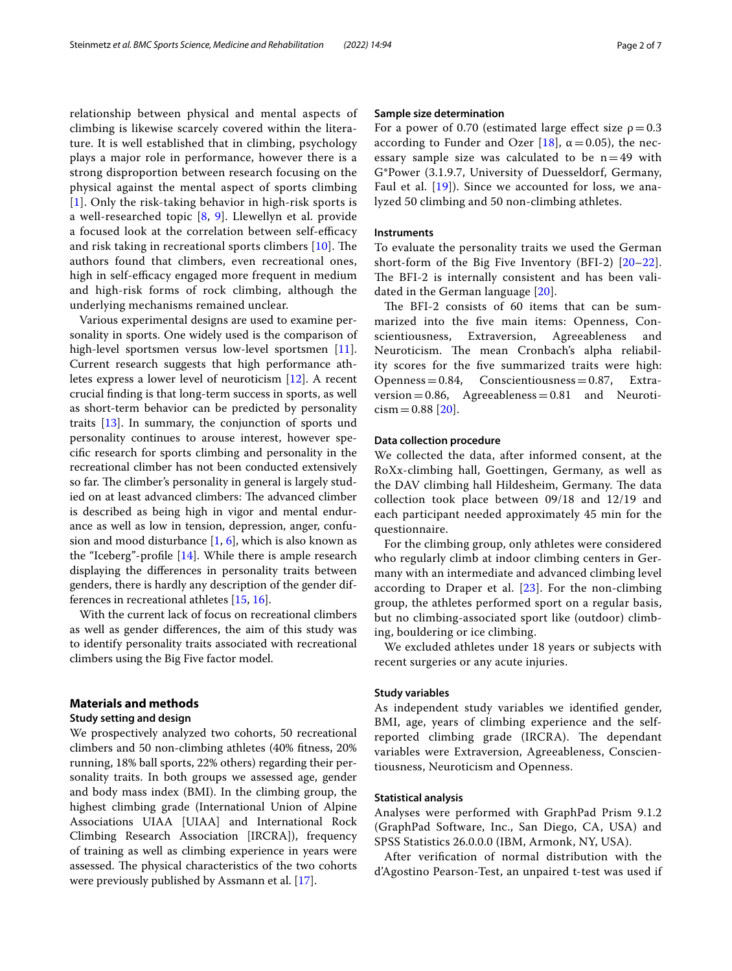relationship between physical and mental aspects of climbing is likewise scarcely covered within the literature. It is well established that in climbing, psychology plays a major role in performance, however there is a strong disproportion between research focusing on the physical against the mental aspect of sports climbing [[1](#page-5-0)]. Only the risk-taking behavior in high-risk sports is a well-researched topic [[8,](#page-5-6) [9\]](#page-5-7). Llewellyn et al. provide a focused look at the correlation between self-efficacy and risk taking in recreational sports climbers  $[10]$  $[10]$ . The authors found that climbers, even recreational ones, high in self-efficacy engaged more frequent in medium and high-risk forms of rock climbing, although the underlying mechanisms remained unclear.

Various experimental designs are used to examine personality in sports. One widely used is the comparison of high-level sportsmen versus low-level sportsmen [\[11](#page-5-9)]. Current research suggests that high performance athletes express a lower level of neuroticism [[12\]](#page-5-10). A recent crucial fnding is that long-term success in sports, as well as short-term behavior can be predicted by personality traits [\[13](#page-5-11)]. In summary, the conjunction of sports und personality continues to arouse interest, however specifc research for sports climbing and personality in the recreational climber has not been conducted extensively so far. The climber's personality in general is largely studied on at least advanced climbers: The advanced climber is described as being high in vigor and mental endurance as well as low in tension, depression, anger, confusion and mood disturbance [\[1](#page-5-0), [6\]](#page-5-12), which is also known as the "Iceberg"-profle [\[14](#page-5-13)]. While there is ample research displaying the diferences in personality traits between genders, there is hardly any description of the gender differences in recreational athletes [\[15](#page-5-14), [16](#page-5-15)].

With the current lack of focus on recreational climbers as well as gender diferences, the aim of this study was to identify personality traits associated with recreational climbers using the Big Five factor model.

## **Materials and methods**

## **Study setting and design**

We prospectively analyzed two cohorts, 50 recreational climbers and 50 non-climbing athletes (40% ftness, 20% running, 18% ball sports, 22% others) regarding their personality traits. In both groups we assessed age, gender and body mass index (BMI). In the climbing group, the highest climbing grade (International Union of Alpine Associations UIAA [UIAA] and International Rock Climbing Research Association [IRCRA]), frequency of training as well as climbing experience in years were assessed. The physical characteristics of the two cohorts were previously published by Assmann et al. [[17\]](#page-5-16).

## **Sample size determination**

For a power of 0.70 (estimated large effect size  $\rho = 0.3$ according to Funder and Ozer [\[18\]](#page-5-17),  $\alpha$  = 0.05), the necessary sample size was calculated to be  $n=49$  with G\*Power (3.1.9.7, University of Duesseldorf, Germany, Faul et al.  $[19]$  $[19]$ ). Since we accounted for loss, we analyzed 50 climbing and 50 non-climbing athletes.

## **Instruments**

To evaluate the personality traits we used the German short-form of the Big Five Inventory (BFI-2) [[20–](#page-5-19)[22](#page-5-20)]. The BFI-2 is internally consistent and has been validated in the German language [[20\]](#page-5-19).

The BFI-2 consists of 60 items that can be summarized into the fve main items: Openness, Conscientiousness, Extraversion, Agreeableness and Neuroticism. The mean Cronbach's alpha reliability scores for the fve summarized traits were high:  $Openness = 0.84$ , Conscientiousness = 0.87, Extraversion=0.86, Agreeableness=0.81 and Neuroti $cism = 0.88$  [\[20](#page-5-19)].

## **Data collection procedure**

We collected the data, after informed consent, at the RoXx-climbing hall, Goettingen, Germany, as well as the DAV climbing hall Hildesheim, Germany. The data collection took place between 09/18 and 12/19 and each participant needed approximately 45 min for the questionnaire.

For the climbing group, only athletes were considered who regularly climb at indoor climbing centers in Germany with an intermediate and advanced climbing level according to Draper et al.  $[23]$  $[23]$  $[23]$ . For the non-climbing group, the athletes performed sport on a regular basis, but no climbing-associated sport like (outdoor) climbing, bouldering or ice climbing.

We excluded athletes under 18 years or subjects with recent surgeries or any acute injuries.

## **Study variables**

As independent study variables we identifed gender, BMI, age, years of climbing experience and the selfreported climbing grade (IRCRA). The dependant variables were Extraversion, Agreeableness, Conscientiousness, Neuroticism and Openness.

## **Statistical analysis**

Analyses were performed with GraphPad Prism 9.1.2 (GraphPad Software, Inc., San Diego, CA, USA) and SPSS Statistics 26.0.0.0 (IBM, Armonk, NY, USA).

After verifcation of normal distribution with the d'Agostino Pearson-Test, an unpaired t-test was used if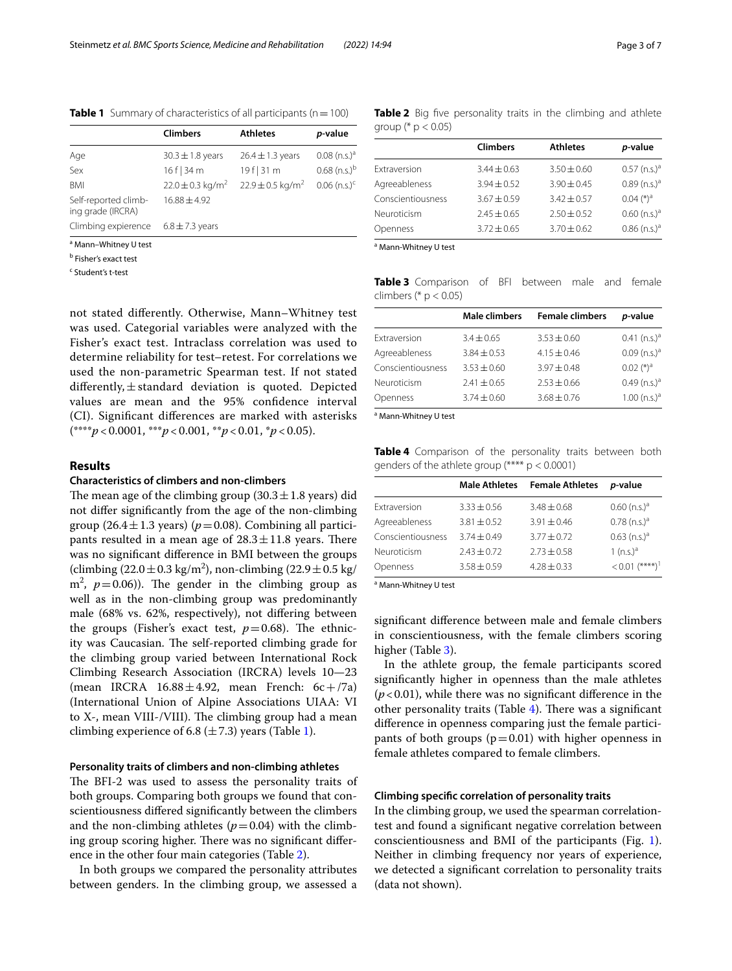<span id="page-2-0"></span>**Table 1** Summary of characteristics of all participants (n = 100)

| <b>Climbers</b>                  | <b>Athletes</b>                  | p-value                    |
|----------------------------------|----------------------------------|----------------------------|
| $30.3 \pm 1.8$ years             | $26.4 \pm 1.3$ years             | $0.08$ (n.s.) <sup>a</sup> |
| 16 f   34 m                      | $19f$   31 m                     | $0.68$ (n.s.) <sup>b</sup> |
| $22.0 \pm 0.3$ kg/m <sup>2</sup> | $22.9 \pm 0.5$ kg/m <sup>2</sup> | $0.06$ (n.s.) <sup>c</sup> |
| $16.88 \pm 4.92$                 |                                  |                            |
| $6.8 \pm 7.3$ years              |                                  |                            |
|                                  |                                  |                            |

<sup>a</sup> Mann-Whitney U test

<sup>b</sup> Fisher's exact test

<sup>c</sup> Student's t-test

not stated diferently. Otherwise, Mann–Whitney test was used. Categorial variables were analyzed with the Fisher's exact test. Intraclass correlation was used to determine reliability for test–retest. For correlations we used the non-parametric Spearman test. If not stated differently,  $\pm$  standard deviation is quoted. Depicted values are mean and the 95% confdence interval (CI). Signifcant diferences are marked with asterisks (\*\*\*\**p* < 0.0001, \*\*\**p* < 0.001, \*\**p* < 0.01, \**p* < 0.05).

## **Results**

#### **Characteristics of climbers and non‑climbers**

The mean age of the climbing group  $(30.3 \pm 1.8 \text{ years})$  did not difer signifcantly from the age of the non-climbing group (26.4 $\pm$ 1.3 years) ( $p$ =0.08). Combining all participants resulted in a mean age of  $28.3 \pm 11.8$  years. There was no signifcant diference in BMI between the groups (climbing  $(22.0 \pm 0.3 \text{ kg/m}^2)$ , non-climbing  $(22.9 \pm 0.5 \text{ kg/m}^2)$  $m^2$ ,  $p=0.06$ )). The gender in the climbing group as well as in the non-climbing group was predominantly male (68% vs. 62%, respectively), not difering between the groups (Fisher's exact test,  $p=0.68$ ). The ethnicity was Caucasian. The self-reported climbing grade for the climbing group varied between International Rock Climbing Research Association (IRCRA) levels 10—23 (mean IRCRA  $16.88 \pm 4.92$ , mean French:  $6c + 7a$ ) (International Union of Alpine Associations UIAA: VI to  $X$ -, mean VIII-/VIII). The climbing group had a mean climbing experience of 6.8 ( $\pm$  7.3) years (Table [1\)](#page-2-0).

#### **Personality traits of climbers and non‑climbing athletes**

The BFI-2 was used to assess the personality traits of both groups. Comparing both groups we found that conscientiousness difered signifcantly between the climbers and the non-climbing athletes  $(p=0.04)$  with the climbing group scoring higher. There was no significant difference in the other four main categories (Table [2](#page-2-1)).

In both groups we compared the personality attributes between genders. In the climbing group, we assessed a

<span id="page-2-1"></span>**Table 2** Big five personality traits in the climbing and athlete group (\*  $p < 0.05$ )

|                   | <b>Climbers</b> | <b>Athletes</b> | p-value                    |
|-------------------|-----------------|-----------------|----------------------------|
| Extraversion      | $3.44 \pm 0.63$ | $3.50 \pm 0.60$ | $0.57$ (n.s.) <sup>a</sup> |
| Agreeableness     | $3.94 + 0.52$   | $3.90 + 0.45$   | $0.89$ (n.s.) <sup>a</sup> |
| Conscientiousness | $3.67 + 0.59$   | $3.42 + 0.57$   | $0.04$ $(*)^a$             |
| Neuroticism       | $2.45 + 0.65$   | $2.50 + 0.52$   | $0.60$ (n.s.) <sup>a</sup> |
| Openness          | $3.72 + 0.65$   | $3.70 + 0.62$   | $0.86$ (n.s.) <sup>a</sup> |
|                   |                 |                 |                            |

a Mann-Whitney U test

<span id="page-2-2"></span>**Table 3** Comparison of BFI between male and female climbers ( $*$  p < 0.05)

|                   | <b>Male climbers</b> | <b>Female climbers</b> | <i>p</i> -value              |
|-------------------|----------------------|------------------------|------------------------------|
| Extraversion      | $3.4 \pm 0.65$       | $3.53 \pm 0.60$        | $0.41$ (n.s.) <sup>a</sup>   |
| Agreeableness     | $3.84 \pm 0.53$      | $4.15 \pm 0.46$        | $0.09$ (n.s.) <sup>a</sup>   |
| Conscientiousness | $3.53 + 0.60$        | $3.97 + 0.48$          | $0.02$ $(^{*})$ <sup>a</sup> |
| Neuroticism       | $2.41 \pm 0.65$      | $2.53 \pm 0.66$        | $0.49$ (n.s.) <sup>a</sup>   |
| Openness          | $3.74 \pm 0.60$      | $3.68 \pm 0.76$        | $1.00$ (n.s.) <sup>a</sup>   |
|                   |                      |                        |                              |

a Mann-Whitney U test

<span id="page-2-3"></span>**Table 4** Comparison of the personality traits between both genders of the athlete group (\*\*\*\* p < 0.0001)

|                   | <b>Male Athletes</b> | <b>Female Athletes</b> | <i>p</i> -value              |
|-------------------|----------------------|------------------------|------------------------------|
| Extraversion      | $3.33 + 0.56$        | $3.48 + 0.68$          | $0.60$ (n.s.) <sup>a</sup>   |
| Agreeableness     | $3.81 \pm 0.52$      | $3.91 + 0.46$          | $0.78$ (n.s.) <sup>a</sup>   |
| Conscientiousness | $3.74 + 0.49$        | $3.77 + 0.72$          | $0.63$ (n.s.) <sup>a</sup>   |
| Neuroticism       | $7.43 + 0.72$        | $2.73 + 0.58$          | 1 $(n.s.)^a$                 |
| Openness          | $3.58 \pm 0.59$      | $4.28 + 0.33$          | $< 0.01$ (****) <sup>1</sup> |

a Mann-Whitney U test

signifcant diference between male and female climbers in conscientiousness, with the female climbers scoring higher (Table [3](#page-2-2)).

In the athlete group, the female participants scored signifcantly higher in openness than the male athletes  $(p<0.01)$ , while there was no significant difference in the other personality traits (Table  $4$ ). There was a significant diference in openness comparing just the female participants of both groups ( $p=0.01$ ) with higher openness in female athletes compared to female climbers.

#### **Climbing specifc correlation of personality traits**

In the climbing group, we used the spearman correlationtest and found a signifcant negative correlation between conscientiousness and BMI of the participants (Fig. [1](#page-3-0)). Neither in climbing frequency nor years of experience, we detected a signifcant correlation to personality traits (data not shown).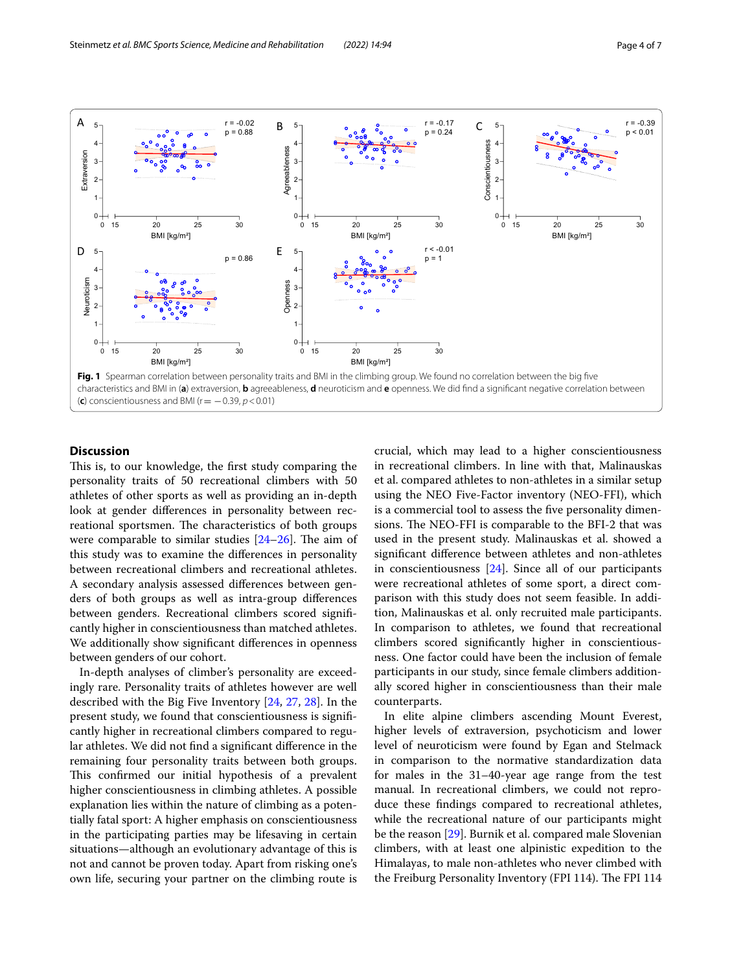

## <span id="page-3-0"></span>**Discussion**

This is, to our knowledge, the first study comparing the personality traits of 50 recreational climbers with 50 athletes of other sports as well as providing an in-depth look at gender diferences in personality between recreational sportsmen. The characteristics of both groups were comparable to similar studies  $[24–26]$  $[24–26]$  $[24–26]$ . The aim of this study was to examine the diferences in personality between recreational climbers and recreational athletes. A secondary analysis assessed diferences between genders of both groups as well as intra-group diferences between genders. Recreational climbers scored signifcantly higher in conscientiousness than matched athletes. We additionally show signifcant diferences in openness between genders of our cohort.

In-depth analyses of climber's personality are exceedingly rare. Personality traits of athletes however are well described with the Big Five Inventory [[24,](#page-6-0) [27,](#page-6-2) [28\]](#page-6-3). In the present study, we found that conscientiousness is signifcantly higher in recreational climbers compared to regular athletes. We did not fnd a signifcant diference in the remaining four personality traits between both groups. This confirmed our initial hypothesis of a prevalent higher conscientiousness in climbing athletes. A possible explanation lies within the nature of climbing as a potentially fatal sport: A higher emphasis on conscientiousness in the participating parties may be lifesaving in certain situations—although an evolutionary advantage of this is not and cannot be proven today. Apart from risking one's own life, securing your partner on the climbing route is crucial, which may lead to a higher conscientiousness in recreational climbers. In line with that, Malinauskas et al. compared athletes to non-athletes in a similar setup using the NEO Five-Factor inventory (NEO-FFI), which is a commercial tool to assess the fve personality dimensions. The NEO-FFI is comparable to the BFI-2 that was used in the present study. Malinauskas et al. showed a signifcant diference between athletes and non-athletes in conscientiousness [\[24](#page-6-0)]. Since all of our participants were recreational athletes of some sport, a direct comparison with this study does not seem feasible. In addition, Malinauskas et al. only recruited male participants. In comparison to athletes, we found that recreational climbers scored signifcantly higher in conscientiousness. One factor could have been the inclusion of female participants in our study, since female climbers additionally scored higher in conscientiousness than their male counterparts.

In elite alpine climbers ascending Mount Everest, higher levels of extraversion, psychoticism and lower level of neuroticism were found by Egan and Stelmack in comparison to the normative standardization data for males in the 31–40-year age range from the test manual. In recreational climbers, we could not reproduce these fndings compared to recreational athletes, while the recreational nature of our participants might be the reason [[29](#page-6-4)]. Burnik et al. compared male Slovenian climbers, with at least one alpinistic expedition to the Himalayas, to male non-athletes who never climbed with the Freiburg Personality Inventory (FPI 114). The FPI 114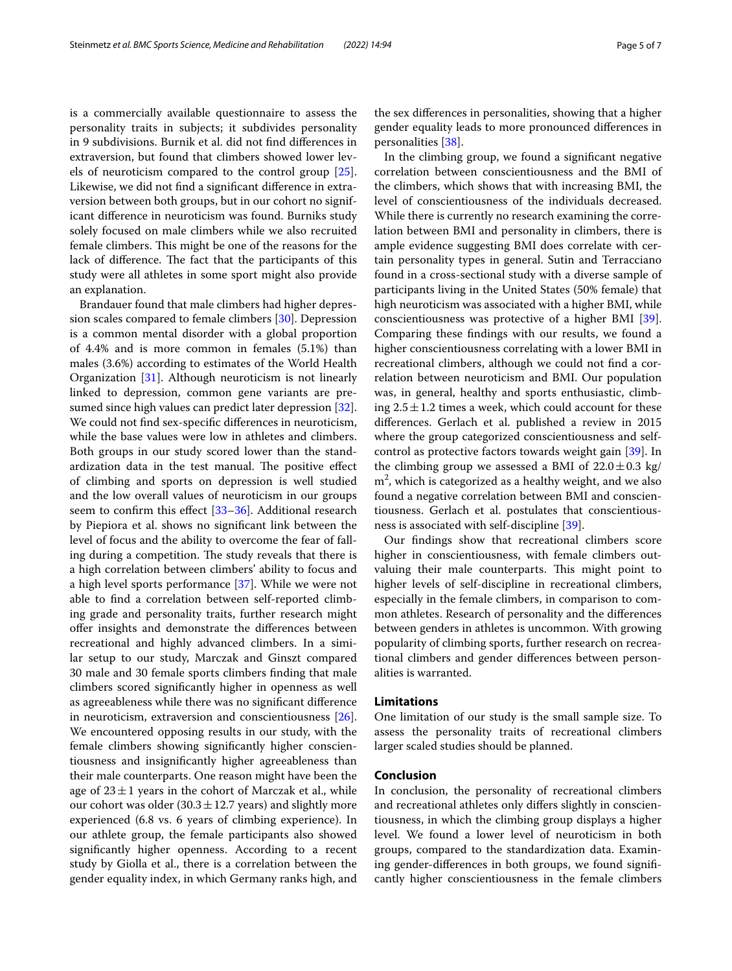is a commercially available questionnaire to assess the personality traits in subjects; it subdivides personality in 9 subdivisions. Burnik et al. did not fnd diferences in extraversion, but found that climbers showed lower levels of neuroticism compared to the control group [\[25](#page-6-5)]. Likewise, we did not fnd a signifcant diference in extraversion between both groups, but in our cohort no significant diference in neuroticism was found. Burniks study solely focused on male climbers while we also recruited female climbers. This might be one of the reasons for the lack of difference. The fact that the participants of this study were all athletes in some sport might also provide an explanation.

Brandauer found that male climbers had higher depression scales compared to female climbers [[30\]](#page-6-6). Depression is a common mental disorder with a global proportion of 4.4% and is more common in females (5.1%) than males (3.6%) according to estimates of the World Health Organization [[31\]](#page-6-7). Although neuroticism is not linearly linked to depression, common gene variants are presumed since high values can predict later depression [\[32](#page-6-8)]. We could not fnd sex-specifc diferences in neuroticism, while the base values were low in athletes and climbers. Both groups in our study scored lower than the standardization data in the test manual. The positive effect of climbing and sports on depression is well studied and the low overall values of neuroticism in our groups seem to confrm this efect [\[33–](#page-6-9)[36\]](#page-6-10). Additional research by Piepiora et al. shows no signifcant link between the level of focus and the ability to overcome the fear of falling during a competition. The study reveals that there is a high correlation between climbers' ability to focus and a high level sports performance [[37\]](#page-6-11). While we were not able to fnd a correlation between self-reported climbing grade and personality traits, further research might offer insights and demonstrate the differences between recreational and highly advanced climbers. In a similar setup to our study, Marczak and Ginszt compared 30 male and 30 female sports climbers fnding that male climbers scored signifcantly higher in openness as well as agreeableness while there was no signifcant diference in neuroticism, extraversion and conscientiousness [\[26](#page-6-1)]. We encountered opposing results in our study, with the female climbers showing signifcantly higher conscientiousness and insignifcantly higher agreeableness than their male counterparts. One reason might have been the age of  $23 \pm 1$  years in the cohort of Marczak et al., while our cohort was older  $(30.3 \pm 12.7 \text{ years})$  and slightly more experienced (6.8 vs. 6 years of climbing experience). In our athlete group, the female participants also showed signifcantly higher openness. According to a recent study by Giolla et al., there is a correlation between the gender equality index, in which Germany ranks high, and

the sex diferences in personalities, showing that a higher gender equality leads to more pronounced diferences in personalities [\[38\]](#page-6-12).

In the climbing group, we found a signifcant negative correlation between conscientiousness and the BMI of the climbers, which shows that with increasing BMI, the level of conscientiousness of the individuals decreased. While there is currently no research examining the correlation between BMI and personality in climbers, there is ample evidence suggesting BMI does correlate with certain personality types in general. Sutin and Terracciano found in a cross-sectional study with a diverse sample of participants living in the United States (50% female) that high neuroticism was associated with a higher BMI, while conscientiousness was protective of a higher BMI [\[39](#page-6-13)]. Comparing these fndings with our results, we found a higher conscientiousness correlating with a lower BMI in recreational climbers, although we could not fnd a correlation between neuroticism and BMI. Our population was, in general, healthy and sports enthusiastic, climbing  $2.5 \pm 1.2$  times a week, which could account for these diferences. Gerlach et al. published a review in 2015 where the group categorized conscientiousness and selfcontrol as protective factors towards weight gain [[39\]](#page-6-13). In the climbing group we assessed a BMI of  $22.0 \pm 0.3$  kg/  $m<sup>2</sup>$ , which is categorized as a healthy weight, and we also found a negative correlation between BMI and conscientiousness. Gerlach et al. postulates that conscientiousness is associated with self-discipline [[39](#page-6-13)].

Our fndings show that recreational climbers score higher in conscientiousness, with female climbers outvaluing their male counterparts. This might point to higher levels of self-discipline in recreational climbers, especially in the female climbers, in comparison to common athletes. Research of personality and the diferences between genders in athletes is uncommon. With growing popularity of climbing sports, further research on recreational climbers and gender diferences between personalities is warranted.

## **Limitations**

One limitation of our study is the small sample size. To assess the personality traits of recreational climbers larger scaled studies should be planned.

## **Conclusion**

In conclusion, the personality of recreational climbers and recreational athletes only difers slightly in conscientiousness, in which the climbing group displays a higher level. We found a lower level of neuroticism in both groups, compared to the standardization data. Examining gender-diferences in both groups, we found signifcantly higher conscientiousness in the female climbers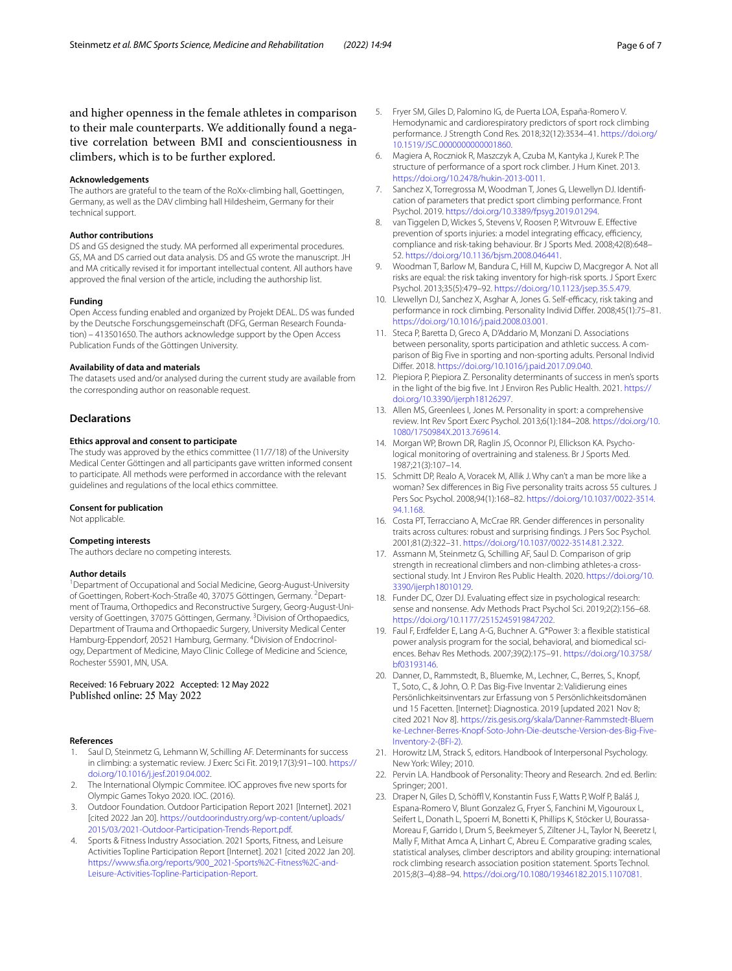and higher openness in the female athletes in comparison to their male counterparts. We additionally found a negative correlation between BMI and conscientiousness in climbers, which is to be further explored.

#### **Acknowledgements**

The authors are grateful to the team of the RoXx-climbing hall, Goettingen, Germany, as well as the DAV climbing hall Hildesheim, Germany for their technical support.

#### **Author contributions**

DS and GS designed the study. MA performed all experimental procedures. GS, MA and DS carried out data analysis. DS and GS wrote the manuscript. JH and MA critically revised it for important intellectual content. All authors have approved the fnal version of the article, including the authorship list.

#### **Funding**

Open Access funding enabled and organized by Projekt DEAL. DS was funded by the Deutsche Forschungsgemeinschaft (DFG, German Research Foundation) – 413501650. The authors acknowledge support by the Open Access Publication Funds of the Göttingen University.

#### **Availability of data and materials**

The datasets used and/or analysed during the current study are available from the corresponding author on reasonable request.

#### **Declarations**

#### **Ethics approval and consent to participate**

The study was approved by the ethics committee (11/7/18) of the University Medical Center Göttingen and all participants gave written informed consent to participate. All methods were performed in accordance with the relevant guidelines and regulations of the local ethics committee.

#### **Consent for publication**

Not applicable.

## **Competing interests**

The authors declare no competing interests.

#### **Author details**

<sup>1</sup> Department of Occupational and Social Medicine, Georg-August-University of Goettingen, Robert-Koch-Straße 40, 37075 Göttingen, Germany. <sup>2</sup>Department of Trauma, Orthopedics and Reconstructive Surgery, Georg-August-University of Goettingen, 37075 Göttingen, Germany. <sup>3</sup>Division of Orthopaedics, Department of Trauma and Orthopaedic Surgery, University Medical Center Hamburg-Eppendorf, 20521 Hamburg, Germany. <sup>4</sup>Division of Endocrinology, Department of Medicine, Mayo Clinic College of Medicine and Science, Rochester 55901, MN, USA.

## Received: 16 February 2022 Accepted: 12 May 2022<br>Published online: 25 May 2022

#### **References**

- <span id="page-5-0"></span>1. Saul D, Steinmetz G, Lehmann W, Schilling AF. Determinants for success in climbing: a systematic review. J Exerc Sci Fit. 2019;17(3):91–100. [https://](https://doi.org/10.1016/j.jesf.2019.04.002) [doi.org/10.1016/j.jesf.2019.04.002.](https://doi.org/10.1016/j.jesf.2019.04.002)
- <span id="page-5-1"></span>2. The International Olympic Commitee. IOC approves fve new sports for Olympic Games Tokyo 2020. IOC. (2016).
- <span id="page-5-2"></span>3. Outdoor Foundation. Outdoor Participation Report 2021 [Internet]. 2021 [cited 2022 Jan 20]. [https://outdoorindustry.org/wp-content/uploads/](https://outdoorindustry.org/wp-content/uploads/2015/03/2021-Outdoor-Participation-Trends-Report.pdf) [2015/03/2021-Outdoor-Participation-Trends-Report.pdf.](https://outdoorindustry.org/wp-content/uploads/2015/03/2021-Outdoor-Participation-Trends-Report.pdf)
- <span id="page-5-3"></span>4. Sports & Fitness Industry Association. 2021 Sports, Fitness, and Leisure Activities Topline Participation Report [Internet]. 2021 [cited 2022 Jan 20]. [https://www.sfa.org/reports/900\\_2021-Sports%2C-Fitness%2C-and-](https://www.sfia.org/reports/900_2021-Sports%2C-Fitness%2C-and-Leisure-Activities-Topline-Participation-Report)[Leisure-Activities-Topline-Participation-Report](https://www.sfia.org/reports/900_2021-Sports%2C-Fitness%2C-and-Leisure-Activities-Topline-Participation-Report).
- <span id="page-5-4"></span>5. Fryer SM, Giles D, Palomino IG, de Puerta LOA, España-Romero V. Hemodynamic and cardiorespiratory predictors of sport rock climbing performance. J Strength Cond Res. 2018;32(12):3534–41. [https://doi.org/](https://doi.org/10.1519/JSC.0000000000001860) [10.1519/JSC.0000000000001860.](https://doi.org/10.1519/JSC.0000000000001860)
- <span id="page-5-12"></span>6. Magiera A, Roczniok R, Maszczyk A, Czuba M, Kantyka J, Kurek P. The structure of performance of a sport rock climber. J Hum Kinet. 2013. <https://doi.org/10.2478/hukin-2013-0011>.
- <span id="page-5-5"></span>7. Sanchez X, Torregrossa M, Woodman T, Jones G, Llewellyn DJ. Identifcation of parameters that predict sport climbing performance. Front Psychol. 2019. <https://doi.org/10.3389/fpsyg.2019.01294>.
- <span id="page-5-6"></span>8. van Tiggelen D, Wickes S, Stevens V, Roosen P, Witvrouw E. Efective prevention of sports injuries: a model integrating efficacy, efficiency, compliance and risk-taking behaviour. Br J Sports Med. 2008;42(8):648– 52. [https://doi.org/10.1136/bjsm.2008.046441.](https://doi.org/10.1136/bjsm.2008.046441)
- <span id="page-5-7"></span>9. Woodman T, Barlow M, Bandura C, Hill M, Kupciw D, Macgregor A. Not all risks are equal: the risk taking inventory for high-risk sports. J Sport Exerc Psychol. 2013;35(5):479–92.<https://doi.org/10.1123/jsep.35.5.479>.
- <span id="page-5-8"></span>10. Llewellyn DJ, Sanchez X, Asghar A, Jones G. Self-efficacy, risk taking and performance in rock climbing. Personality Individ Difer. 2008;45(1):75–81. <https://doi.org/10.1016/j.paid.2008.03.001>.
- <span id="page-5-9"></span>11. Steca P, Baretta D, Greco A, D'Addario M, Monzani D. Associations between personality, sports participation and athletic success. A comparison of Big Five in sporting and non-sporting adults. Personal Individ Difer. 2018. [https://doi.org/10.1016/j.paid.2017.09.040.](https://doi.org/10.1016/j.paid.2017.09.040)
- <span id="page-5-10"></span>12. Piepiora P, Piepiora Z. Personality determinants of success in men's sports in the light of the big fve. Int J Environ Res Public Health. 2021. [https://](https://doi.org/10.3390/ijerph18126297) [doi.org/10.3390/ijerph18126297.](https://doi.org/10.3390/ijerph18126297)
- <span id="page-5-11"></span>13. Allen MS, Greenlees I, Jones M. Personality in sport: a comprehensive review. Int Rev Sport Exerc Psychol. 2013;6(1):184–208. [https://doi.org/10.](https://doi.org/10.1080/1750984X.2013.769614) [1080/1750984X.2013.769614.](https://doi.org/10.1080/1750984X.2013.769614)
- <span id="page-5-13"></span>14. Morgan WP, Brown DR, Raglin JS, Oconnor PJ, Ellickson KA. Psychological monitoring of overtraining and staleness. Br J Sports Med. 1987;21(3):107–14.
- <span id="page-5-14"></span>15. Schmitt DP, Realo A, Voracek M, Allik J. Why can't a man be more like a woman? Sex diferences in Big Five personality traits across 55 cultures. J Pers Soc Psychol. 2008;94(1):168–82. [https://doi.org/10.1037/0022-3514.](https://doi.org/10.1037/0022-3514.94.1.168) [94.1.168](https://doi.org/10.1037/0022-3514.94.1.168).
- <span id="page-5-15"></span>16. Costa PT, Terracciano A, McCrae RR. Gender diferences in personality traits across cultures: robust and surprising fndings. J Pers Soc Psychol. 2001;81(2):322–31. <https://doi.org/10.1037/0022-3514.81.2.322>.
- <span id="page-5-16"></span>17. Assmann M, Steinmetz G, Schilling AF, Saul D. Comparison of grip strength in recreational climbers and non-climbing athletes-a crosssectional study. Int J Environ Res Public Health. 2020. [https://doi.org/10.](https://doi.org/10.3390/ijerph18010129) [3390/ijerph18010129.](https://doi.org/10.3390/ijerph18010129)
- <span id="page-5-17"></span>18. Funder DC, Ozer DJ. Evaluating effect size in psychological research: sense and nonsense. Adv Methods Pract Psychol Sci. 2019;2(2):156–68. <https://doi.org/10.1177/2515245919847202>.
- <span id="page-5-18"></span>19. Faul F, Erdfelder E, Lang A-G, Buchner A. G\*Power 3: a fexible statistical power analysis program for the social, behavioral, and biomedical sciences. Behav Res Methods. 2007;39(2):175–91. [https://doi.org/10.3758/](https://doi.org/10.3758/bf03193146) [bf03193146](https://doi.org/10.3758/bf03193146).
- <span id="page-5-19"></span>20. Danner, D., Rammstedt, B., Bluemke, M., Lechner, C., Berres, S., Knopf, T., Soto, C., & John, O. P. Das Big-Five Inventar 2: Validierung eines Persönlichkeitsinventars zur Erfassung von 5 Persönlichkeitsdomänen und 15 Facetten. [Internet]: Diagnostica. 2019 [updated 2021 Nov 8; cited 2021 Nov 8]. [https://zis.gesis.org/skala/Danner-Rammstedt-Bluem](https://zis.gesis.org/skala/Danner-Rammstedt-Bluemke-Lechner-Berres-Knopf-Soto-John-Die-deutsche-Version-des-Big-Five-Inventory-2-(BFI-2)) [ke-Lechner-Berres-Knopf-Soto-John-Die-deutsche-Version-des-Big-Five-](https://zis.gesis.org/skala/Danner-Rammstedt-Bluemke-Lechner-Berres-Knopf-Soto-John-Die-deutsche-Version-des-Big-Five-Inventory-2-(BFI-2))[Inventory-2-\(BFI-2\)](https://zis.gesis.org/skala/Danner-Rammstedt-Bluemke-Lechner-Berres-Knopf-Soto-John-Die-deutsche-Version-des-Big-Five-Inventory-2-(BFI-2)).
- 21. Horowitz LM, Strack S, editors. Handbook of Interpersonal Psychology. New York: Wiley; 2010.
- <span id="page-5-20"></span>22. Pervin LA. Handbook of Personality: Theory and Research. 2nd ed. Berlin: Springer; 2001.
- <span id="page-5-21"></span>23. Draper N, Giles D, Schöffl V, Konstantin Fuss F, Watts P, Wolf P, Baláš J, Espana-Romero V, Blunt Gonzalez G, Fryer S, Fanchini M, Vigouroux L, Seifert L, Donath L, Spoerri M, Bonetti K, Phillips K, Stöcker U, Bourassa-Moreau F, Garrido I, Drum S, Beekmeyer S, Ziltener J-L, Taylor N, Beeretz I, Mally F, Mithat Amca A, Linhart C, Abreu E. Comparative grading scales, statistical analyses, climber descriptors and ability grouping: international rock climbing research association position statement. Sports Technol. 2015;8(3–4):88–94.<https://doi.org/10.1080/19346182.2015.1107081>.